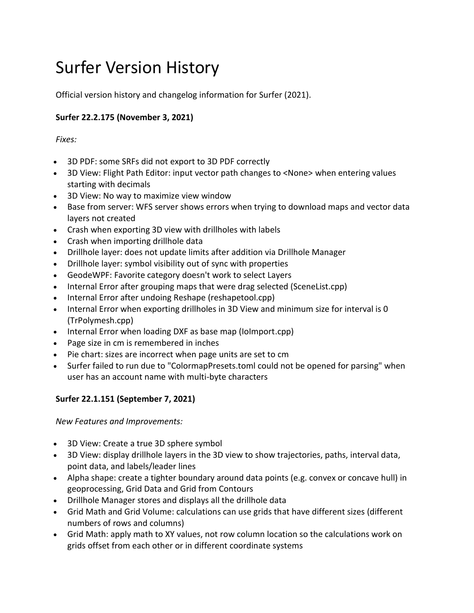# Surfer Version History

Official version history and changelog information for Surfer (2021).

# **Surfer 22.2.175 (November 3, 2021)**

*Fixes:*

- 3D PDF: some SRFs did not export to 3D PDF correctly
- 3D View: Flight Path Editor: input vector path changes to <None> when entering values starting with decimals
- 3D View: No way to maximize view window
- Base from server: WFS server shows errors when trying to download maps and vector data layers not created
- Crash when exporting 3D view with drillholes with labels
- Crash when importing drillhole data
- Drillhole layer: does not update limits after addition via Drillhole Manager
- Drillhole layer: symbol visibility out of sync with properties
- GeodeWPF: Favorite category doesn't work to select Layers
- Internal Error after grouping maps that were drag selected (SceneList.cpp)
- Internal Error after undoing Reshape (reshapetool.cpp)
- Internal Error when exporting drillholes in 3D View and minimum size for interval is 0 (TrPolymesh.cpp)
- Internal Error when loading DXF as base map (IoImport.cpp)
- Page size in cm is remembered in inches
- Pie chart: sizes are incorrect when page units are set to cm
- Surfer failed to run due to "ColormapPresets.toml could not be opened for parsing" when user has an account name with multi-byte characters

## **Surfer 22.1.151 (September 7, 2021)**

*New Features and Improvements:*

- 3D View: Create a true 3D sphere symbol
- 3D View: display drillhole layers in the 3D view to show trajectories, paths, interval data, point data, and labels/leader lines
- Alpha shape: create a tighter boundary around data points (e.g. convex or concave hull) in geoprocessing, Grid Data and Grid from Contours
- Drillhole Manager stores and displays all the drillhole data
- Grid Math and Grid Volume: calculations can use grids that have different sizes (different numbers of rows and columns)
- Grid Math: apply math to XY values, not row column location so the calculations work on grids offset from each other or in different coordinate systems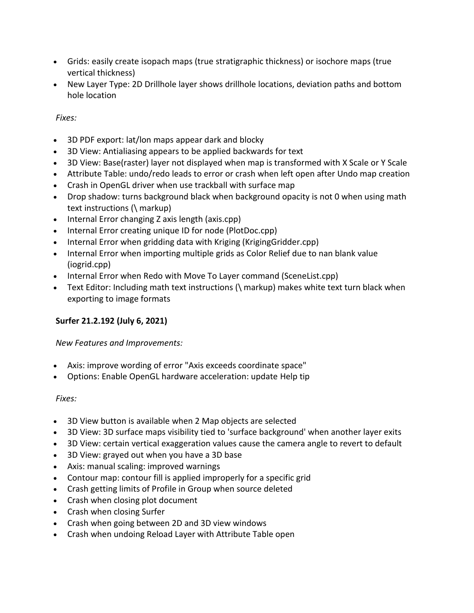- Grids: easily create isopach maps (true stratigraphic thickness) or isochore maps (true vertical thickness)
- New Layer Type: 2D Drillhole layer shows drillhole locations, deviation paths and bottom hole location

## *Fixes:*

- 3D PDF export: lat/lon maps appear dark and blocky
- 3D View: Antialiasing appears to be applied backwards for text
- 3D View: Base(raster) layer not displayed when map is transformed with X Scale or Y Scale
- Attribute Table: undo/redo leads to error or crash when left open after Undo map creation
- Crash in OpenGL driver when use trackball with surface map
- Drop shadow: turns background black when background opacity is not 0 when using math text instructions (\ markup)
- Internal Error changing Z axis length (axis.cpp)
- Internal Error creating unique ID for node (PlotDoc.cpp)
- Internal Error when gridding data with Kriging (KrigingGridder.cpp)
- Internal Error when importing multiple grids as Color Relief due to nan blank value (iogrid.cpp)
- Internal Error when Redo with Move To Layer command (SceneList.cpp)
- Text Editor: Including math text instructions (\ markup) makes white text turn black when exporting to image formats

## **Surfer 21.2.192 (July 6, 2021)**

### *New Features and Improvements:*

- Axis: improve wording of error "Axis exceeds coordinate space"
- Options: Enable OpenGL hardware acceleration: update Help tip

#### *Fixes:*

- 3D View button is available when 2 Map objects are selected
- 3D View: 3D surface maps visibility tied to 'surface background' when another layer exits
- 3D View: certain vertical exaggeration values cause the camera angle to revert to default
- 3D View: grayed out when you have a 3D base
- Axis: manual scaling: improved warnings
- Contour map: contour fill is applied improperly for a specific grid
- Crash getting limits of Profile in Group when source deleted
- Crash when closing plot document
- Crash when closing Surfer
- Crash when going between 2D and 3D view windows
- Crash when undoing Reload Layer with Attribute Table open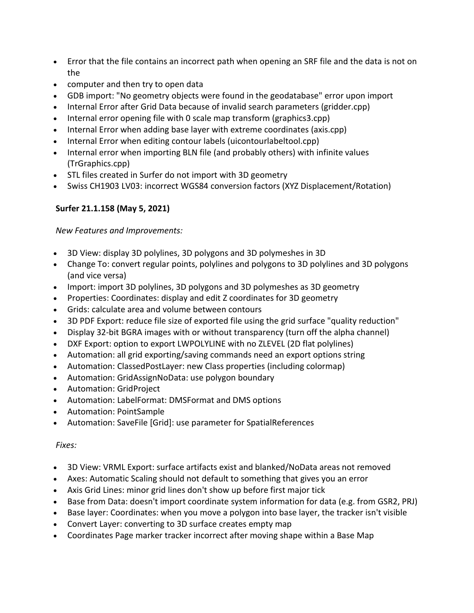- Error that the file contains an incorrect path when opening an SRF file and the data is not on the
- computer and then try to open data
- GDB import: "No geometry objects were found in the geodatabase" error upon import
- Internal Error after Grid Data because of invalid search parameters (gridder.cpp)
- Internal error opening file with 0 scale map transform (graphics3.cpp)
- Internal Error when adding base layer with extreme coordinates (axis.cpp)
- Internal Error when editing contour labels (uicontourlabeltool.cpp)
- Internal error when importing BLN file (and probably others) with infinite values (TrGraphics.cpp)
- STL files created in Surfer do not import with 3D geometry
- Swiss CH1903 LV03: incorrect WGS84 conversion factors (XYZ Displacement/Rotation)

## **Surfer 21.1.158 (May 5, 2021)**

*New Features and Improvements:*

- 3D View: display 3D polylines, 3D polygons and 3D polymeshes in 3D
- Change To: convert regular points, polylines and polygons to 3D polylines and 3D polygons (and vice versa)
- Import: import 3D polylines, 3D polygons and 3D polymeshes as 3D geometry
- Properties: Coordinates: display and edit Z coordinates for 3D geometry
- Grids: calculate area and volume between contours
- 3D PDF Export: reduce file size of exported file using the grid surface "quality reduction"
- Display 32-bit BGRA images with or without transparency (turn off the alpha channel)
- DXF Export: option to export LWPOLYLINE with no ZLEVEL (2D flat polylines)
- Automation: all grid exporting/saving commands need an export options string
- Automation: ClassedPostLayer: new Class properties (including colormap)
- Automation: GridAssignNoData: use polygon boundary
- Automation: GridProject
- Automation: LabelFormat: DMSFormat and DMS options
- Automation: PointSample
- Automation: SaveFile [Grid]: use parameter for SpatialReferences

### *Fixes:*

- 3D View: VRML Export: surface artifacts exist and blanked/NoData areas not removed
- Axes: Automatic Scaling should not default to something that gives you an error
- Axis Grid Lines: minor grid lines don't show up before first major tick
- Base from Data: doesn't import coordinate system information for data (e.g. from GSR2, PRJ)
- Base layer: Coordinates: when you move a polygon into base layer, the tracker isn't visible
- Convert Layer: converting to 3D surface creates empty map
- Coordinates Page marker tracker incorrect after moving shape within a Base Map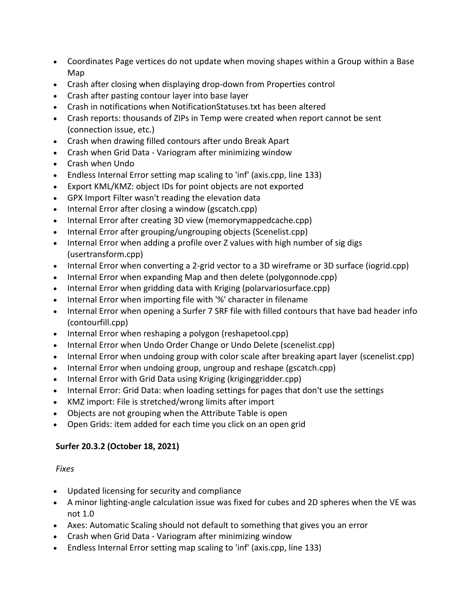- Coordinates Page vertices do not update when moving shapes within a Group within a Base Map
- Crash after closing when displaying drop-down from Properties control
- Crash after pasting contour layer into base layer
- Crash in notifications when NotificationStatuses.txt has been altered
- Crash reports: thousands of ZIPs in Temp were created when report cannot be sent (connection issue, etc.)
- Crash when drawing filled contours after undo Break Apart
- Crash when Grid Data Variogram after minimizing window
- Crash when Undo
- Endless Internal Error setting map scaling to 'inf' (axis.cpp, line 133)
- Export KML/KMZ: object IDs for point objects are not exported
- GPX Import Filter wasn't reading the elevation data
- Internal Error after closing a window (gscatch.cpp)
- Internal Error after creating 3D view (memorymappedcache.cpp)
- Internal Error after grouping/ungrouping objects (Scenelist.cpp)
- Internal Error when adding a profile over Z values with high number of sig digs (usertransform.cpp)
- Internal Error when converting a 2-grid vector to a 3D wireframe or 3D surface (iogrid.cpp)
- Internal Error when expanding Map and then delete (polygonnode.cpp)
- Internal Error when gridding data with Kriging (polarvariosurface.cpp)
- Internal Error when importing file with '%' character in filename
- Internal Error when opening a Surfer 7 SRF file with filled contours that have bad header info (contourfill.cpp)
- Internal Error when reshaping a polygon (reshapetool.cpp)
- Internal Error when Undo Order Change or Undo Delete (scenelist.cpp)
- Internal Error when undoing group with color scale after breaking apart layer (scenelist.cpp)
- Internal Error when undoing group, ungroup and reshape (gscatch.cpp)
- Internal Error with Grid Data using Kriging (kriginggridder.cpp)
- Internal Error: Grid Data: when loading settings for pages that don't use the settings
- KMZ import: File is stretched/wrong limits after import
- Objects are not grouping when the Attribute Table is open
- Open Grids: item added for each time you click on an open grid

## **Surfer 20.3.2 (October 18, 2021)**

#### *Fixes*

- Updated licensing for security and compliance
- A minor lighting-angle calculation issue was fixed for cubes and 2D spheres when the VE was not 1.0
- Axes: Automatic Scaling should not default to something that gives you an error
- Crash when Grid Data Variogram after minimizing window
- Endless Internal Error setting map scaling to 'inf' (axis.cpp, line 133)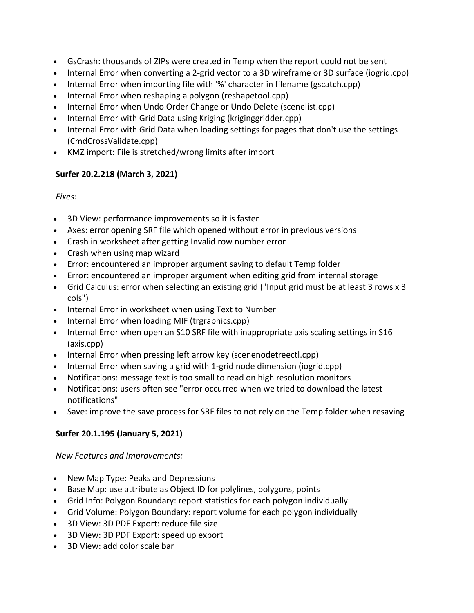- GsCrash: thousands of ZIPs were created in Temp when the report could not be sent
- Internal Error when converting a 2-grid vector to a 3D wireframe or 3D surface (iogrid.cpp)
- Internal Error when importing file with '%' character in filename (gscatch.cpp)
- Internal Error when reshaping a polygon (reshapetool.cpp)
- Internal Error when Undo Order Change or Undo Delete (scenelist.cpp)
- Internal Error with Grid Data using Kriging (kriginggridder.cpp)
- Internal Error with Grid Data when loading settings for pages that don't use the settings (CmdCrossValidate.cpp)
- KMZ import: File is stretched/wrong limits after import

## **Surfer 20.2.218 (March 3, 2021)**

## *Fixes:*

- 3D View: performance improvements so it is faster
- Axes: error opening SRF file which opened without error in previous versions
- Crash in worksheet after getting Invalid row number error
- Crash when using map wizard
- Error: encountered an improper argument saving to default Temp folder
- Error: encountered an improper argument when editing grid from internal storage
- Grid Calculus: error when selecting an existing grid ("Input grid must be at least 3 rows x 3 cols")
- Internal Error in worksheet when using Text to Number
- Internal Error when loading MIF (trgraphics.cpp)
- Internal Error when open an S10 SRF file with inappropriate axis scaling settings in S16 (axis.cpp)
- Internal Error when pressing left arrow key (scenenodetreectl.cpp)
- Internal Error when saving a grid with 1-grid node dimension (iogrid.cpp)
- Notifications: message text is too small to read on high resolution monitors
- Notifications: users often see "error occurred when we tried to download the latest notifications"
- Save: improve the save process for SRF files to not rely on the Temp folder when resaving

# **Surfer 20.1.195 (January 5, 2021)**

## *New Features and Improvements:*

- New Map Type: Peaks and Depressions
- Base Map: use attribute as Object ID for polylines, polygons, points
- Grid Info: Polygon Boundary: report statistics for each polygon individually
- Grid Volume: Polygon Boundary: report volume for each polygon individually
- 3D View: 3D PDF Export: reduce file size
- 3D View: 3D PDF Export: speed up export
- 3D View: add color scale bar